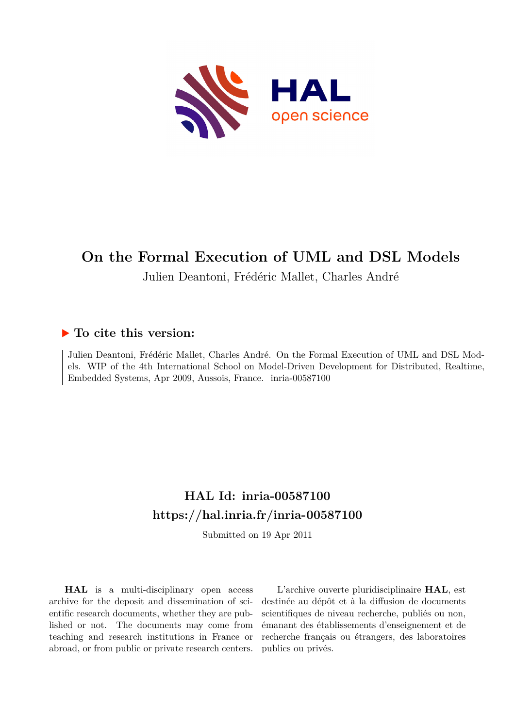

## **On the Formal Execution of UML and DSL Models**

Julien Deantoni, Frédéric Mallet, Charles André

## **To cite this version:**

Julien Deantoni, Frédéric Mallet, Charles André. On the Formal Execution of UML and DSL Models. WIP of the 4th International School on Model-Driven Development for Distributed, Realtime, Embedded Systems, Apr 2009, Aussois, France. inria-00587100

# **HAL Id: inria-00587100 <https://hal.inria.fr/inria-00587100>**

Submitted on 19 Apr 2011

**HAL** is a multi-disciplinary open access archive for the deposit and dissemination of scientific research documents, whether they are published or not. The documents may come from teaching and research institutions in France or abroad, or from public or private research centers.

L'archive ouverte pluridisciplinaire **HAL**, est destinée au dépôt et à la diffusion de documents scientifiques de niveau recherche, publiés ou non, émanant des établissements d'enseignement et de recherche français ou étrangers, des laboratoires publics ou privés.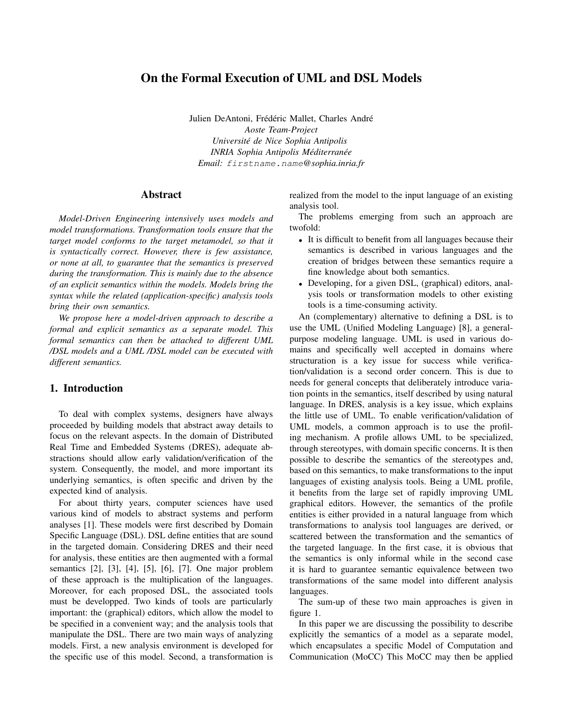### On the Formal Execution of UML and DSL Models

Julien DeAntoni, Frédéric Mallet, Charles André *Aoste Team-Project Université de Nice Sophia Antipolis INRIA Sophia Antipolis Méditerranée Email:* firstname.name*@sophia.inria.fr*

#### Abstract

*Model-Driven Engineering intensively uses models and model transformations. Transformation tools ensure that the target model conforms to the target metamodel, so that it is syntactically correct. However, there is few assistance, or none at all, to guarantee that the semantics is preserved during the transformation. This is mainly due to the absence of an explicit semantics within the models. Models bring the syntax while the related (application-specific) analysis tools bring their own semantics.*

*We propose here a model-driven approach to describe a formal and explicit semantics as a separate model. This formal semantics can then be attached to different UML /DSL models and a UML /DSL model can be executed with different semantics.*

#### 1. Introduction

To deal with complex systems, designers have always proceeded by building models that abstract away details to focus on the relevant aspects. In the domain of Distributed Real Time and Embedded Systems (DRES), adequate abstractions should allow early validation/verification of the system. Consequently, the model, and more important its underlying semantics, is often specific and driven by the expected kind of analysis.

For about thirty years, computer sciences have used various kind of models to abstract systems and perform analyses [1]. These models were first described by Domain Specific Language (DSL). DSL define entities that are sound in the targeted domain. Considering DRES and their need for analysis, these entities are then augmented with a formal semantics [2], [3], [4], [5], [6], [7]. One major problem of these approach is the multiplication of the languages. Moreover, for each proposed DSL, the associated tools must be developped. Two kinds of tools are particularly important: the (graphical) editors, which allow the model to be specified in a convenient way; and the analysis tools that manipulate the DSL. There are two main ways of analyzing models. First, a new analysis environment is developed for the specific use of this model. Second, a transformation is realized from the model to the input language of an existing analysis tool.

The problems emerging from such an approach are twofold:

- It is difficult to benefit from all languages because their semantics is described in various languages and the creation of bridges between these semantics require a fine knowledge about both semantics.
- Developing, for a given DSL, (graphical) editors, analysis tools or transformation models to other existing tools is a time-consuming activity.

An (complementary) alternative to defining a DSL is to use the UML (Unified Modeling Language) [8], a generalpurpose modeling language. UML is used in various domains and specifically well accepted in domains where structuration is a key issue for success while verification/validation is a second order concern. This is due to needs for general concepts that deliberately introduce variation points in the semantics, itself described by using natural language. In DRES, analysis is a key issue, which explains the little use of UML. To enable verification/validation of UML models, a common approach is to use the profiling mechanism. A profile allows UML to be specialized, through stereotypes, with domain specific concerns. It is then possible to describe the semantics of the stereotypes and, based on this semantics, to make transformations to the input languages of existing analysis tools. Being a UML profile, it benefits from the large set of rapidly improving UML graphical editors. However, the semantics of the profile entities is either provided in a natural language from which transformations to analysis tool languages are derived, or scattered between the transformation and the semantics of the targeted language. In the first case, it is obvious that the semantics is only informal while in the second case it is hard to guarantee semantic equivalence between two transformations of the same model into different analysis languages.

The sum-up of these two main approaches is given in figure 1.

In this paper we are discussing the possibility to describe explicitly the semantics of a model as a separate model, which encapsulates a specific Model of Computation and Communication (MoCC) This MoCC may then be applied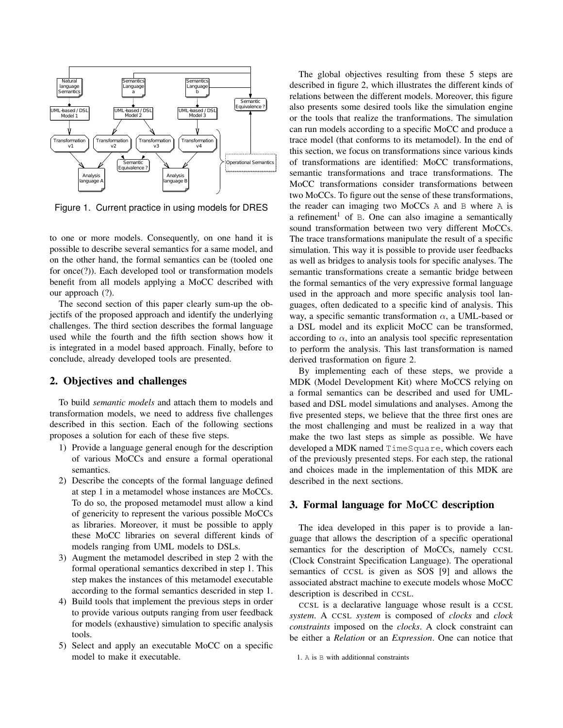

Figure 1. Current practice in using models for DRES

to one or more models. Consequently, on one hand it is possible to describe several semantics for a same model, and on the other hand, the formal semantics can be (tooled one for once(?)). Each developed tool or transformation models benefit from all models applying a MoCC described with our approach (?).

The second section of this paper clearly sum-up the objectifs of the proposed approach and identify the underlying challenges. The third section describes the formal language used while the fourth and the fifth section shows how it is integrated in a model based approach. Finally, before to conclude, already developed tools are presented.

#### 2. Objectives and challenges

To build *semantic models* and attach them to models and transformation models, we need to address five challenges described in this section. Each of the following sections proposes a solution for each of these five steps.

- 1) Provide a language general enough for the description of various MoCCs and ensure a formal operational semantics.
- 2) Describe the concepts of the formal language defined at step 1 in a metamodel whose instances are MoCCs. To do so, the proposed metamodel must allow a kind of genericity to represent the various possible MoCCs as libraries. Moreover, it must be possible to apply these MoCC libraries on several different kinds of models ranging from UML models to DSLs.
- 3) Augment the metamodel described in step 2 with the formal operational semantics dexcribed in step 1. This step makes the instances of this metamodel executable according to the formal semantics descrided in step 1.
- 4) Build tools that implement the previous steps in order to provide various outputs ranging from user feedback for models (exhaustive) simulation to specific analysis tools.
- 5) Select and apply an executable MoCC on a specific model to make it executable.

The global objectives resulting from these 5 steps are described in figure 2, which illustrates the different kinds of relations between the different models. Moreover, this figure also presents some desired tools like the simulation engine or the tools that realize the tranformations. The simulation can run models according to a specific MoCC and produce a trace model (that conforms to its metamodel). In the end of this section, we focus on transformations since various kinds of transformations are identified: MoCC transformations, semantic transformations and trace transformations. The MoCC transformations consider transformations between two MoCCs. To figure out the sense of these transformations, the reader can imaging two MoCCs A and B where A is a refinement<sup>1</sup> of B. One can also imagine a semantically sound transformation between two very different MoCCs. The trace transformations manipulate the result of a specific simulation. This way it is possible to provide user feedbacks as well as bridges to analysis tools for specific analyses. The semantic transformations create a semantic bridge between the formal semantics of the very expressive formal language used in the approach and more specific analysis tool languages, often dedicated to a specific kind of analysis. This way, a specific semantic transformation  $\alpha$ , a UML-based or a DSL model and its explicit MoCC can be transformed, according to  $\alpha$ , into an analysis tool specific representation to perform the analysis. This last transformation is named derived trasformation on figure 2.

By implementing each of these steps, we provide a MDK (Model Development Kit) where MoCCS relying on a formal semantics can be described and used for UMLbased and DSL model simulations and analyses. Among the five presented steps, we believe that the three first ones are the most challenging and must be realized in a way that make the two last steps as simple as possible. We have developed a MDK named TimeSquare, which covers each of the previously presented steps. For each step, the rational and choices made in the implementation of this MDK are described in the next sections.

#### 3. Formal language for MoCC description

The idea developed in this paper is to provide a language that allows the description of a specific operational semantics for the description of MoCCs, namely CCSL (Clock Constraint Specification Language). The operational semantics of CCSL is given as SOS [9] and allows the associated abstract machine to execute models whose MoCC description is described in CCSL.

CCSL is a declarative language whose result is a CCSL *system*. A CCSL *system* is composed of *clocks* and *clock constraints* imposed on the *clocks*. A clock constraint can be either a *Relation* or an *Expression*. One can notice that

<sup>1.</sup> A is B with additionnal constraints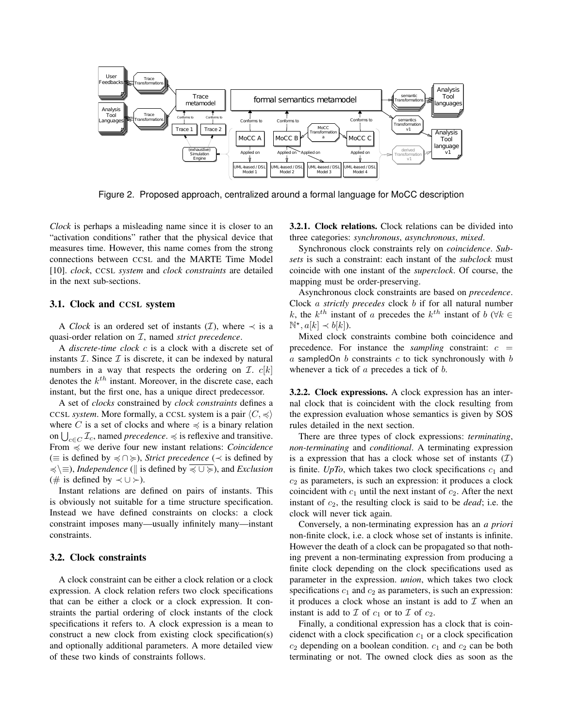

Figure 2. Proposed approach, centralized around a formal language for MoCC description

*Clock* is perhaps a misleading name since it is closer to an "activation conditions" rather that the physical device that measures time. However, this name comes from the strong connections between CCSL and the MARTE Time Model [10]. *clock*, CCSL *system* and *clock constraints* are detailed in the next sub-sections.

#### 3.1. Clock and CCSL system

A *Clock* is an ordered set of instants ( $\mathcal{I}$ ), where  $\prec$  is a quasi-order relation on I, named *strict precedence*.

A *discrete-time clock* c is a clock with a discrete set of instants  $I$ . Since  $I$  is discrete, it can be indexed by natural numbers in a way that respects the ordering on  $\mathcal{I}$ .  $c[k]$ denotes the  $k^{th}$  instant. Moreover, in the discrete case, each instant, but the first one, has a unique direct predecessor.

A set of *clocks* constrained by *clock constraints* defines a CCSL *system*. More formally, a CCSL system is a pair  $\langle C, \preccurlyeq \rangle$ where C is a set of clocks and where  $\preccurlyeq$  is a binary relation on  $\bigcup_{c \in C} \mathcal{I}_c$ , named *precedence*.  $\preccurlyeq$  is reflexive and transitive. From 4 we derive four new instant relations: *Coincidence* (≡ is defined by 4 ∩ <), *Strict precedence* (≺ is defined by 4\≡), *Independence* (k is defined by 4 ∪ <), and *Exclusion*  $(\# \text{ is defined by } \prec \cup \succ).$ 

Instant relations are defined on pairs of instants. This is obviously not suitable for a time structure specification. Instead we have defined constraints on clocks: a clock constraint imposes many—usually infinitely many—instant constraints.

#### 3.2. Clock constraints

A clock constraint can be either a clock relation or a clock expression. A clock relation refers two clock specifications that can be either a clock or a clock expression. It constraints the partial ordering of clock instants of the clock specifications it refers to. A clock expression is a mean to construct a new clock from existing clock specification(s) and optionally additional parameters. A more detailed view of these two kinds of constraints follows.

3.2.1. Clock relations. Clock relations can be divided into three categories: *synchronous*, *asynchronous*, *mixed*.

Synchronous clock constraints rely on *coincidence*. *Subsets* is such a constraint: each instant of the *subclock* must coincide with one instant of the *superclock*. Of course, the mapping must be order-preserving.

Asynchronous clock constraints are based on *precedence*. Clock a *strictly precedes* clock b if for all natural number k, the  $k^{th}$  instant of a precedes the  $k^{th}$  instant of  $b \ (\forall k \in$  $\mathbb{N}^*, a[k] \prec b[k]).$ 

Mixed clock constraints combine both coincidence and precedence. For instance the *sampling* constraint:  $c =$ a sampled On  $b$  constraints  $c$  to tick synchronously with  $b$ whenever a tick of a precedes a tick of b.

3.2.2. Clock expressions. A clock expression has an internal clock that is coincident with the clock resulting from the expression evaluation whose semantics is given by SOS rules detailed in the next section.

There are three types of clock expressions: *terminating*, *non-terminating* and *conditional*. A terminating expression is a expression that has a clock whose set of instants  $(I)$ is finite.  $UpTo$ , which takes two clock specifications  $c_1$  and  $c_2$  as parameters, is such an expression: it produces a clock coincident with  $c_1$  until the next instant of  $c_2$ . After the next instant of  $c_2$ , the resulting clock is said to be *dead*; i.e. the clock will never tick again.

Conversely, a non-terminating expression has an *a priori* non-finite clock, i.e. a clock whose set of instants is infinite. However the death of a clock can be propagated so that nothing prevent a non-terminating expression from producing a finite clock depending on the clock specifications used as parameter in the expression. *union*, which takes two clock specifications  $c_1$  and  $c_2$  as parameters, is such an expression: it produces a clock whose an instant is add to  $\mathcal I$  when an instant is add to  $\mathcal I$  of  $c_1$  or to  $\mathcal I$  of  $c_2$ .

Finally, a conditional expression has a clock that is coincidenct with a clock specification  $c_1$  or a clock specification  $c_2$  depending on a boolean condition.  $c_1$  and  $c_2$  can be both terminating or not. The owned clock dies as soon as the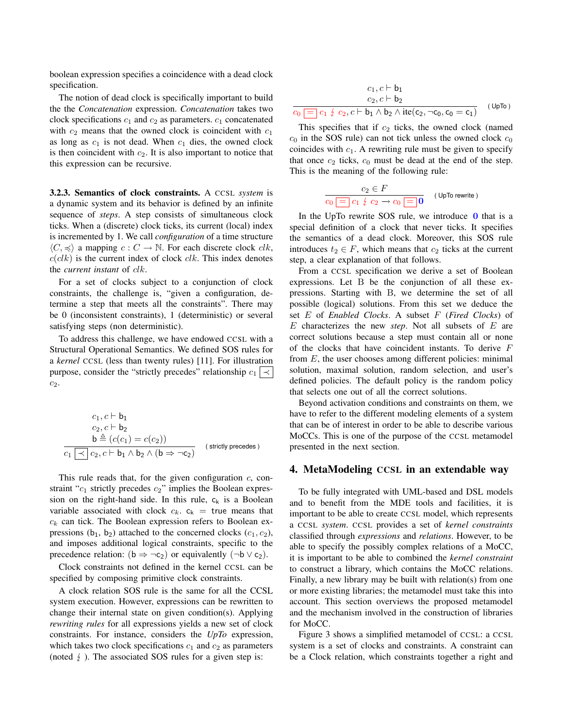boolean expression specifies a coincidence with a dead clock specification.

The notion of dead clock is specifically important to build the the *Concatenation* expression. *Concatenation* takes two clock specifications  $c_1$  and  $c_2$  as parameters.  $c_1$  concatenated with  $c_2$  means that the owned clock is coincident with  $c_1$ as long as  $c_1$  is not dead. When  $c_1$  dies, the owned clock is then coincident with  $c_2$ . It is also important to notice that this expression can be recursive.

3.2.3. Semantics of clock constraints. A CCSL *system* is a dynamic system and its behavior is defined by an infinite sequence of *steps*. A step consists of simultaneous clock ticks. When a (discrete) clock ticks, its current (local) index is incremented by 1. We call *configuration* of a time structure  $\langle C, \preccurlyeq \rangle$  a mapping  $c : C \to \mathbb{N}$ . For each discrete clock  $clk$ ,  $c(clk)$  is the current index of clock  $clk$ . This index denotes the *current instant* of clk.

For a set of clocks subject to a conjunction of clock constraints, the challenge is, "given a configuration, determine a step that meets all the constraints". There may be 0 (inconsistent constraints), 1 (deterministic) or several satisfying steps (non deterministic).

To address this challenge, we have endowed CCSL with a Structural Operational Semantics. We defined SOS rules for a *kernel* CCSL (less than twenty rules) [11]. For illustration purpose, consider the "strictly precedes" relationship  $c_1$   $\prec$  $c_2$ .

$$
c_1, c \vdash b_1
$$
  
\n
$$
c_2, c \vdash b_2
$$
  
\n
$$
b \triangleq (c(c_1) = c(c_2))
$$
  
\n
$$
c_1 \mid \neg \mid c_2, c \vdash b_1 \land b_2 \land (b \Rightarrow \neg c_2)
$$
 (strictly precedes)

This rule reads that, for the given configuration  $c$ , constraint " $c_1$  strictly precedes  $c_2$ " implies the Boolean expression on the right-hand side. In this rule,  $c_k$  is a Boolean variable associated with clock  $c_k$ .  $c_k$  = true means that  $c_k$  can tick. The Boolean expression refers to Boolean expressions  $(b_1, b_2)$  attached to the concerned clocks  $(c_1, c_2)$ , and imposes additional logical constraints, specific to the precedence relation: ( $b \Rightarrow \neg c_2$ ) or equivalently ( $\neg b \lor c_2$ ).

Clock constraints not defined in the kernel CCSL can be specified by composing primitive clock constraints.

A clock relation SOS rule is the same for all the CCSL system execution. However, expressions can be rewritten to change their internal state on given condition(s). Applying *rewriting rules* for all expressions yields a new set of clock constraints. For instance, considers the *UpTo* expression, which takes two clock specifications  $c_1$  and  $c_2$  as parameters (noted  $\frac{1}{2}$ ). The associated SOS rules for a given step is:

$$
c_1, c \vdash b_1
$$
  
\n
$$
c_2, c \vdash b_2
$$
  
\n
$$
\overline{c_0 \mid} c_1 \nvert \overline{c_2}, c \vdash b_1 \land b_2 \land \text{ite}(c_2, \neg c_0, c_0 = c_1)
$$
 (UpTo)

This specifies that if  $c_2$  ticks, the owned clock (named  $c_0$  in the SOS rule) can not tick unless the owned clock  $c_0$ coincides with  $c_1$ . A rewriting rule must be given to specify that once  $c_2$  ticks,  $c_0$  must be dead at the end of the step. This is the meaning of the following rule:

$$
\cfrac{c_2 \in F}{c_0 \mid\equiv \mid c_1 \nmid \neg c_2 \rightarrow c_0 \mid \equiv \mid 0} \qquad \text{(UpTo rewrite)}
$$

In the UpTo rewrite SOS rule, we introduce  $\bf{0}$  that is a special definition of a clock that never ticks. It specifies the semantics of a dead clock. Moreover, this SOS rule introduces  $t_2 \in F$ , which means that  $c_2$  ticks at the current step, a clear explanation of that follows.

From a CCSL specification we derive a set of Boolean expressions. Let B be the conjunction of all these expressions. Starting with B, we determine the set of all possible (logical) solutions. From this set we deduce the set E of *Enabled Clocks*. A subset F (*Fired Clocks*) of E characterizes the new *step*. Not all subsets of E are correct solutions because a step must contain all or none of the clocks that have coincident instants. To derive F from  $E$ , the user chooses among different policies: minimal solution, maximal solution, random selection, and user's defined policies. The default policy is the random policy that selects one out of all the correct solutions.

Beyond activation conditions and constraints on them, we have to refer to the different modeling elements of a system that can be of interest in order to be able to describe various MoCCs. This is one of the purpose of the CCSL metamodel presented in the next section.

#### 4. MetaModeling CCSL in an extendable way

To be fully integrated with UML-based and DSL models and to benefit from the MDE tools and facilities, it is important to be able to create CCSL model, which represents a CCSL *system*. CCSL provides a set of *kernel constraints* classified through *expressions* and *relations*. However, to be able to specify the possibly complex relations of a MoCC, it is important to be able to combined the *kernel constraint* to construct a library, which contains the MoCC relations. Finally, a new library may be built with relation(s) from one or more existing libraries; the metamodel must take this into account. This section overviews the proposed metamodel and the mechanism involved in the construction of libraries for MoCC.

Figure 3 shows a simplified metamodel of CCSL: a CCSL system is a set of clocks and constraints. A constraint can be a Clock relation, which constraints together a right and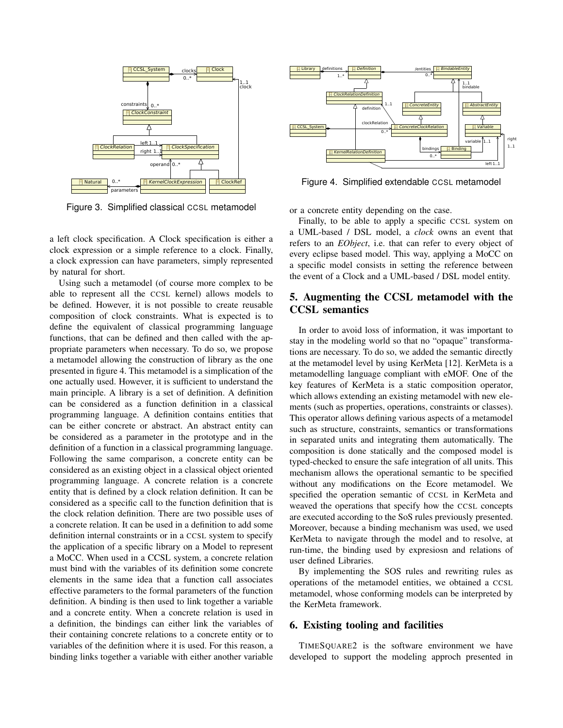

Figure 3. Simplified classical CCSL metamodel

a left clock specification. A Clock specification is either a clock expression or a simple reference to a clock. Finally, a clock expression can have parameters, simply represented by natural for short.

Using such a metamodel (of course more complex to be able to represent all the CCSL kernel) allows models to be defined. However, it is not possible to create reusable composition of clock constraints. What is expected is to define the equivalent of classical programming language functions, that can be defined and then called with the appropriate parameters when necessary. To do so, we propose a metamodel allowing the construction of library as the one presented in figure 4. This metamodel is a simplication of the one actually used. However, it is sufficient to understand the main principle. A library is a set of definition. A definition can be considered as a function definition in a classical programming language. A definition contains entities that can be either concrete or abstract. An abstract entity can be considered as a parameter in the prototype and in the definition of a function in a classical programming language. Following the same comparison, a concrete entity can be considered as an existing object in a classical object oriented programming language. A concrete relation is a concrete entity that is defined by a clock relation definition. It can be considered as a specific call to the function definition that is the clock relation definition. There are two possible uses of a concrete relation. It can be used in a definition to add some definition internal constraints or in a CCSL system to specify the application of a specific library on a Model to represent a MoCC. When used in a CCSL system, a concrete relation must bind with the variables of its definition some concrete elements in the same idea that a function call associates effective parameters to the formal parameters of the function definition. A binding is then used to link together a variable and a concrete entity. When a concrete relation is used in a definition, the bindings can either link the variables of their containing concrete relations to a concrete entity or to variables of the definition where it is used. For this reason, a binding links together a variable with either another variable



Figure 4. Simplified extendable CCSL metamodel

or a concrete entity depending on the case.

Finally, to be able to apply a specific CCSL system on a UML-based / DSL model, a *clock* owns an event that refers to an *EObject*, i.e. that can refer to every object of every eclipse based model. This way, applying a MoCC on a specific model consists in setting the reference between the event of a Clock and a UML-based / DSL model entity.

### 5. Augmenting the CCSL metamodel with the CCSL semantics

In order to avoid loss of information, it was important to stay in the modeling world so that no "opaque" transformations are necessary. To do so, we added the semantic directly at the metamodel level by using KerMeta [12]. KerMeta is a metamodelling language compliant with eMOF. One of the key features of KerMeta is a static composition operator, which allows extending an existing metamodel with new elements (such as properties, operations, constraints or classes). This operator allows defining various aspects of a metamodel such as structure, constraints, semantics or transformations in separated units and integrating them automatically. The composition is done statically and the composed model is typed-checked to ensure the safe integration of all units. This mechanism allows the operational semantic to be specified without any modifications on the Ecore metamodel. We specified the operation semantic of CCSL in KerMeta and weaved the operations that specify how the CCSL concepts are executed according to the SoS rules previously presented. Moreover, because a binding mechanism was used, we used KerMeta to navigate through the model and to resolve, at run-time, the binding used by expresiosn and relations of user defined Libraries.

By implementing the SOS rules and rewriting rules as operations of the metamodel entities, we obtained a CCSL metamodel, whose conforming models can be interpreted by the KerMeta framework.

#### 6. Existing tooling and facilities

TIMESQUARE2 is the software environment we have developed to support the modeling approch presented in